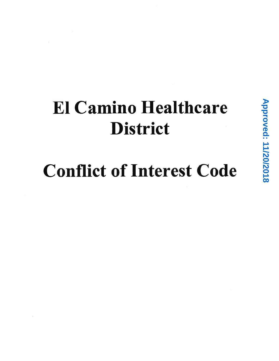# El Camino Healthcare **District**

# Conflict of Interest Code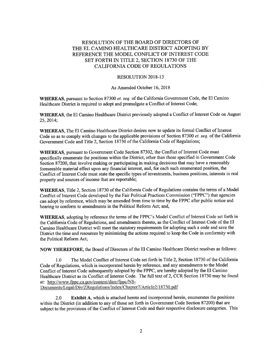### RESOLUTION OF THE BOARD OF DIRECTORS OF THE EL CAMINO HEALTHCARE DISTRICT ADOPTING BY REFERENCE THE MODEL CONFLICT OF INTEREST CODE SET FORTH IN TITLE 2, SECTION 18730 OF THE CALIFORNIA CODE OF REGULATIONS

#### RESOLUTION 20I8-13

As Amended October 16,2018

WHEREAS, pursuant to Section 87300 et. seq. of the California Government Code, the El Camino Healthcare District is required to adopt and promulgate a Conflict of Interest Code;

WHEREAS, the El Camino Healthcare District previously adopted a Conflict of Interest Code on August 25, 2014;

WHEREAS, The El Camino Healthcare District desires now to update its formal Conflict of Interest Code so as to comply with changes to the applicable provisions of Section 87300 et. seq. of the California Government Code and Title 2, Section 18730 of the California Code of Regulations;

WHEREAS, pursuant to Government Code Section 87302, the Conflict of lnterest Code must specifically enumerate the positions within the District, other than those specified in Government Code Section 87200, that involve making or participating in making decisions that may have a reasonably foreseeable material effect upon any financial interest, and, for each such enumerated position, the Conflict of Interest Code must state the specific types of investments, business positions, interests in real property and sources of income that are reportable;

WHEREAS, Title 2, Section 18730 of the California Code of Regulations contains the terms of a Model Conflict of Interest Code developed by the Fair Political Practices Commission ("FPPC") that agencies can adopt by reference, which may be amended from time to time by the FPPC after public notice and hearing to conform to amendments in the Political Reform Act; and,

WHEREAS, adopting by reference the terms of the FPPC's Model Conflict of Interest Code set forth in the California Code of Regulations, and amendments thereto, as the Conflict of Interest Code of the El Camino Healthcare District will meet the statutory requirements for adopting such a code and save the District the time and resources by minimizing the actions required to keep the Code in conformity with the Political Reform Act;

NOW THEREFORE, the Board of Directors of the El Camino Healthcare District resolves as follows:

1.0 The Model Conflict of Interest Code set forth in Title2, Section 18730 of the California Code of Regulations, which is incorporated herein by reference, and any amendments to the Model Conflict of Interest Code subsequently adopted by the FPPC, are hereby adopted by the El Camino Healthcare District as its Conflict of Interest Code. The full text of 2, CCR Section 18730 may be found at: http://www.fppc.ca.gov/content/dam/fppc/NS-

Documents/Legal/Div/ZRegulations/Index/Chapter7/Article2/18730.pdf

2.0 Exhibit A, which is attached hereto and incorporated herein, enumerates the positions within the District (in addition to any of those set forth in Government Code Section 87200) that are subject to the provisions of the Conflict of Interest Code and their respective disclosure categories. This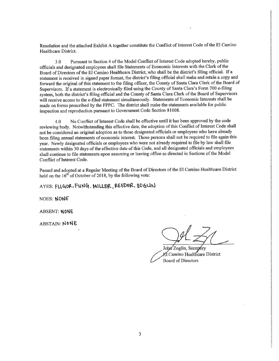Resolution and the attached Exhibit A together constitute the Conflict of Interest Code of the El Camino Healthcare District.

3.0 Pursuant to Section 4 of the Model Conflict of hrterest Code adopted hereby, public officials and designated employees shall file Statements of Economic Interests with the Clerk of the Board of Directors of the El Camino Healthcare District, who shall be the district's filing official. If a statement is received in signed paper format, the district's filing official shall make and retain a copy and forward the original of this statement to the filing officer, the County of Santa Clara Clerk of the Board of Supervisors, If a statement is electronically filed using the County of Santa Clara's Form 700 e-filing system, both the district's filing official and the County of Santa Clara Clerk of the Board of Supervisors will receive access to the e-filed statement simultaneously. Statements of Economic Interests shall be made on forms prescribed by the FPPC. The district shall make the statements available for publio inspection and reproduction pursuant to Government Code Section 81008.

4.0 No Conflict of hrterest Code shall be effective until it has been approved by the code reviewing body. Notwithstanding this effective date, the adoption of this Conflict of Interest Code shall not be considered an original adoption as to those designated officials or employees who have already been filing annual statements of economic interest. Those persons shall not be required to file again this year. Newly designated officials or employees who were not already required to file by law shall file statements within 30 days of the effective date of this Code, and all designated officials and employees shall continue to file statements upon assuming or leaving office as directed in Sections of the Model Conflict of Interest Code.

Passed and adopted at a Regular Meeting of the Board of Directors of the El Camino Healthcare District held on the  $16<sup>th</sup>$  of October of 2018, by the following vote:

 $AYES: FIAGOR, FUNG, MILER, REEDER, LOGUN$ 

NOES: NONE

ABSENT: NONE

ABSTAIN: NONE

John Zoglin, Secretary KI Camino Healthcare District Board of Directors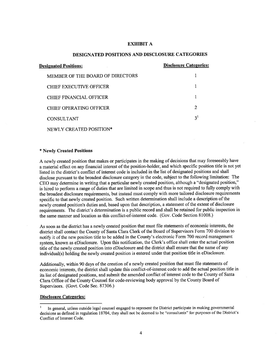#### EXHIBIT A

| <b>Designated Positions:</b>     | <b>Disclosure Categories:</b> |
|----------------------------------|-------------------------------|
| MEMBER OF THE BOARD OF DIRECTORS |                               |
| CHIEF EXECUTIVE OFFICER          |                               |
| CHIEF FINANCIAL OFFICER          |                               |
| CHIEF OPERATING OFFICER          | $\mathcal{D}_{\mathcal{L}}$   |
| <b>CONSULTANT</b>                | 3 <sup>1</sup>                |
| NEWLY CREATED POSITION*          |                               |

#### DESIGNATED POSITIONS AND DISCLOSURE CATEGORIES

### x Newly Created Positions

A newly created position that makes or participates in the making of decisions that may foreseeably have <sup>a</sup>material effect on any financial interest of the position-holder, and which specific position title is not yet listed in the district's conflict of interest code is included in the list of designated positions and shall disclose pursuant to the broadest disclosure category in the code, subject to the following limitation: The CEO may determine in writing that a particular newly created position, although a "designated position," is hired to perform a range of duties that are limited in scope and thus is not required to fully comply with the broadest disclosure requirements, but instead must comply with more tailored disclosure requirements specific to that newly created position. Such written determination shall include a description of the newly created position's duties and, based upon that description, a statement of the extent of disclosure requirements. The district's determination is a public record and shall be retained for public inspection in the same manner and location as this conflict-of-interest code. (Gov. Code Section 81008.)

As soon as the district has a newly created position that must file statements of economic interests, the district shall contact the County of Santa Clara Clerk of the Board of Supervisors Form 700 division to notify it of the new position title to be added in the County's electronic Form 700 record management system, known as eDisclosure. Upon this notification, the Clerk's office shall enter the actual position title of the newly created position into eDisclosure and the district shall ensure that the name of any individual(s) holding the newly created position is entered under that position title in eDisclosure.

Additionally, within 90 days of the creation of a newly created position that must file statements of economic interests, the district shall update this conflict-of-interest code to add the actual position title in its list of designated positions, and submit the amended conflict of interest code to the County of Santa Clara Office of the County Counsel for code-reviewing body approval by the County Board of Supervisors. (Govt. Code Sec. 87306.)

#### Disclosure Categories:

In general, unless outside legal counsel engaged to represent the District participate in making governmental decisions as defined in regulation 18704, they shall not be deemed to be "consultants" for purposes of the District's Conflict of Interest Code.